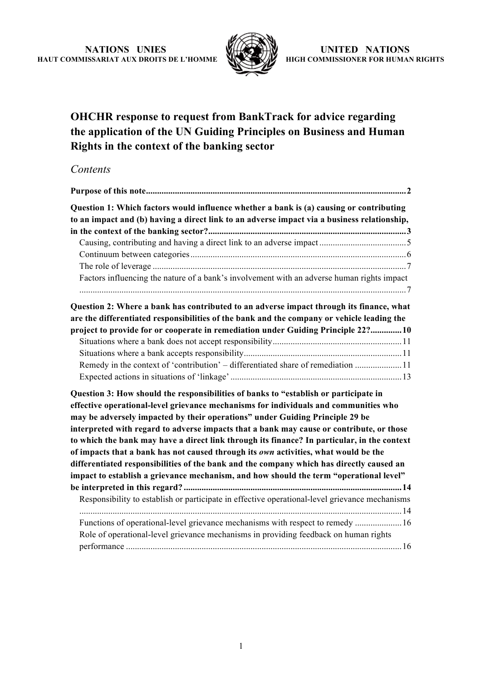

# **OHCHR response to request from BankTrack for advice regarding the application of the UN Guiding Principles on Business and Human Rights in the context of the banking sector**

# *Contents*

| Question 1: Which factors would influence whether a bank is (a) causing or contributing<br>to an impact and (b) having a direct link to an adverse impact via a business relationship,                                                                                                                                                                                                                                                                                                                                                                                                                                                                                                                                               |
|--------------------------------------------------------------------------------------------------------------------------------------------------------------------------------------------------------------------------------------------------------------------------------------------------------------------------------------------------------------------------------------------------------------------------------------------------------------------------------------------------------------------------------------------------------------------------------------------------------------------------------------------------------------------------------------------------------------------------------------|
|                                                                                                                                                                                                                                                                                                                                                                                                                                                                                                                                                                                                                                                                                                                                      |
|                                                                                                                                                                                                                                                                                                                                                                                                                                                                                                                                                                                                                                                                                                                                      |
| Factors influencing the nature of a bank's involvement with an adverse human rights impact                                                                                                                                                                                                                                                                                                                                                                                                                                                                                                                                                                                                                                           |
| Question 2: Where a bank has contributed to an adverse impact through its finance, what<br>are the differentiated responsibilities of the bank and the company or vehicle leading the                                                                                                                                                                                                                                                                                                                                                                                                                                                                                                                                                |
| project to provide for or cooperate in remediation under Guiding Principle 22?10                                                                                                                                                                                                                                                                                                                                                                                                                                                                                                                                                                                                                                                     |
| Remedy in the context of 'contribution' - differentiated share of remediation  11                                                                                                                                                                                                                                                                                                                                                                                                                                                                                                                                                                                                                                                    |
| Question 3: How should the responsibilities of banks to "establish or participate in<br>effective operational-level grievance mechanisms for individuals and communities who<br>may be adversely impacted by their operations" under Guiding Principle 29 be<br>interpreted with regard to adverse impacts that a bank may cause or contribute, or those<br>to which the bank may have a direct link through its finance? In particular, in the context<br>of impacts that a bank has not caused through its own activities, what would be the<br>differentiated responsibilities of the bank and the company which has directly caused an<br>impact to establish a grievance mechanism, and how should the term "operational level" |
| Responsibility to establish or participate in effective operational-level grievance mechanisms                                                                                                                                                                                                                                                                                                                                                                                                                                                                                                                                                                                                                                       |
| Functions of operational-level grievance mechanisms with respect to remedy  16<br>Role of operational-level grievance mechanisms in providing feedback on human rights                                                                                                                                                                                                                                                                                                                                                                                                                                                                                                                                                               |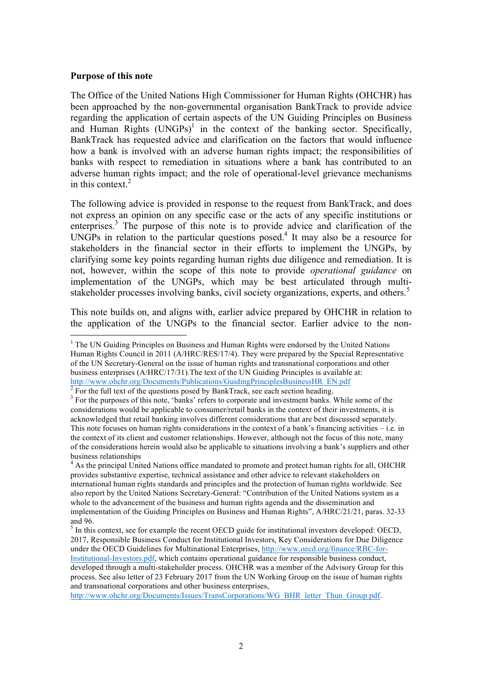#### **Purpose of this note**

<u> 1989 - Johann Barn, mars ann an t-Amhain an t-Amhain an t-Amhain an t-Amhain an t-Amhain an t-Amhain an t-Amh</u>

The Office of the United Nations High Commissioner for Human Rights (OHCHR) has been approached by the non-governmental organisation BankTrack to provide advice regarding the application of certain aspects of the UN Guiding Principles on Business and Human Rights  $(UNGPs)^{1}$  in the context of the banking sector. Specifically, BankTrack has requested advice and clarification on the factors that would influence how a bank is involved with an adverse human rights impact; the responsibilities of banks with respect to remediation in situations where a bank has contributed to an adverse human rights impact; and the role of operational-level grievance mechanisms in this context  $2$ 

The following advice is provided in response to the request from BankTrack, and does not express an opinion on any specific case or the acts of any specific institutions or enterprises.<sup>3</sup> The purpose of this note is to provide advice and clarification of the UNGPs in relation to the particular questions posed. <sup>4</sup> It may also be a resource for stakeholders in the financial sector in their efforts to implement the UNGPs, by clarifying some key points regarding human rights due diligence and remediation. It is not, however, within the scope of this note to provide *operational guidance* on implementation of the UNGPs, which may be best articulated through multistakeholder processes involving banks, civil society organizations, experts, and others.<sup>5</sup>

This note builds on, and aligns with, earlier advice prepared by OHCHR in relation to the application of the UNGPs to the financial sector. Earlier advice to the non-

http://www.ohchr.org/Documents/Issues/TransCorporations/WG\_BHR\_letter\_Thun\_Group.pdf.

 $<sup>1</sup>$  The UN Guiding Principles on Business and Human Rights were endorsed by the United Nations</sup> Human Rights Council in 2011 (A/HRC/RES/17/4). They were prepared by the Special Representative of the UN Secretary-General on the issue of human rights and transnational corporations and other business enterprises (A/HRC/17/31).The text of the UN Guiding Principles is available at: http://www.ohchr.org/Documents/Publications/GuidingPrinciplesBusinessHR\_EN.pdf<sup>2</sup> For the full text of the questions posed by BankTrack, see each section heading.

 $3$  For the purposes of this note, 'banks' refers to corporate and investment banks. While some of the considerations would be applicable to consumer/retail banks in the context of their investments, it is acknowledged that retail banking involves different considerations that are best discussed separately. This note focuses on human rights considerations in the context of a bank's financing activities  $-$  i.e. in the context of its client and customer relationships. However, although not the focus of this note, many of the considerations herein would also be applicable to situations involving a bank's suppliers and other business relationships

<sup>&</sup>lt;sup>4</sup> As the principal United Nations office mandated to promote and protect human rights for all, OHCHR provides substantive expertise, technical assistance and other advice to relevant stakeholders on international human rights standards and principles and the protection of human rights worldwide. See also report by the United Nations Secretary-General: "Contribution of the United Nations system as a whole to the advancement of the business and human rights agenda and the dissemination and implementation of the Guiding Principles on Business and Human Rights", A/HRC/21/21, paras. 32-33 and 96.

<sup>&</sup>lt;sup>5</sup> In this context, see for example the recent OECD guide for institutional investors developed: OECD, 2017, Responsible Business Conduct for Institutional Investors, Key Considerations for Due Diligence under the OECD Guidelines for Multinational Enterprises, http://www.oecd.org/finance/RBC-for-

Institutional-Investors.pdf, which contains operational guidance for responsible business conduct, developed through a multi-stakeholder process. OHCHR was a member of the Advisory Group for this process. See also letter of 23 February 2017 from the UN Working Group on the issue of human rights and transnational corporations and other business enterprises,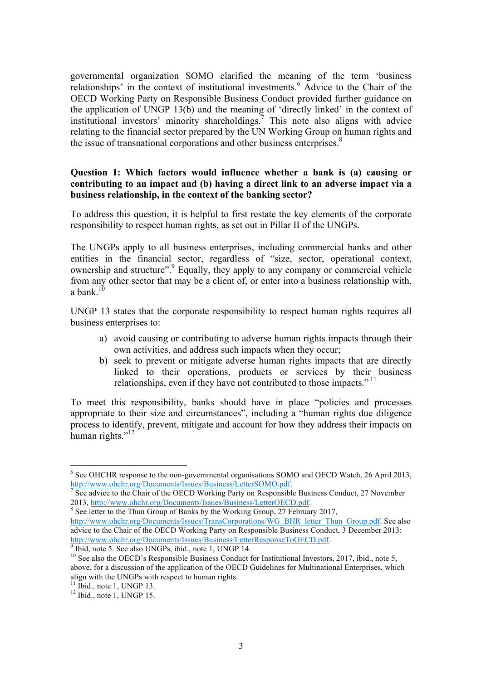governmental organization SOMO clarified the meaning of the term 'business relationships' in the context of institutional investments. <sup>6</sup> Advice to the Chair of the OECD Working Party on Responsible Business Conduct provided further guidance on the application of UNGP 13(b) and the meaning of 'directly linked' in the context of institutional investors' minority shareholdings.<sup>7</sup> This note also aligns with advice relating to the financial sector prepared by the UN Working Group on human rights and the issue of transnational corporations and other business enterprises.<sup>8</sup>

## **Question 1: Which factors would influence whether a bank is (a) causing or contributing to an impact and (b) having a direct link to an adverse impact via a business relationship, in the context of the banking sector?**

To address this question, it is helpful to first restate the key elements of the corporate responsibility to respect human rights, as set out in Pillar II of the UNGPs.

The UNGPs apply to all business enterprises, including commercial banks and other entities in the financial sector, regardless of "size, sector, operational context, ownership and structure".<sup>9</sup> Equally, they apply to any company or commercial vehicle from any other sector that may be a client of, or enter into a business relationship with, a bank.<sup>10</sup>

UNGP 13 states that the corporate responsibility to respect human rights requires all business enterprises to:

- a) avoid causing or contributing to adverse human rights impacts through their own activities, and address such impacts when they occur;
- b) seek to prevent or mitigate adverse human rights impacts that are directly linked to their operations, products or services by their business relationships, even if they have not contributed to those impacts."<sup>11</sup>

To meet this responsibility, banks should have in place "policies and processes appropriate to their size and circumstances", including a "human rights due diligence process to identify, prevent, mitigate and account for how they address their impacts on human rights."<sup>12</sup>

 $8$  See letter to the Thun Group of Banks by the Working Group, 27 February 2017, http://www.ohchr.org/Documents/Issues/TransCorporations/WG\_BHR\_letter\_Thun\_Group.pdf. See also advice to the Chair of the OECD Working Party on Responsible Business Conduct, 3 December 2013: http://www.ohchr.org/Documents/Issues/Business/LetterResponseToOECD.pdf. 9 Ibid, note 5. See also UNGPs, ibid., note 1, UNGP 14.

 $6$  See OHCHR response to the non-governmental organisations SOMO and OECD Watch, 26 April 2013,

http://www.ohchr.org/Documents/Issues/Business/LetterSOMO.pdf.<br>
<sup>7</sup> See advice to the Chair of the OECD Working Party on Responsible Business Conduct, 27 November<br>
2013, http://www.ohchr.org/Documents/Issues/Business/Lette

<sup>&</sup>lt;sup>10</sup> See also the OECD's Responsible Business Conduct for Institutional Investors, 2017, ibid., note 5, above, for a discussion of the application of the OECD Guidelines for Multinational Enterprises, which align with the UNGPs with respect to human rights.<br><sup>11</sup> Ibid., note 1, UNGP 13.<br><sup>12</sup> Ibid., note 1, UNGP 15.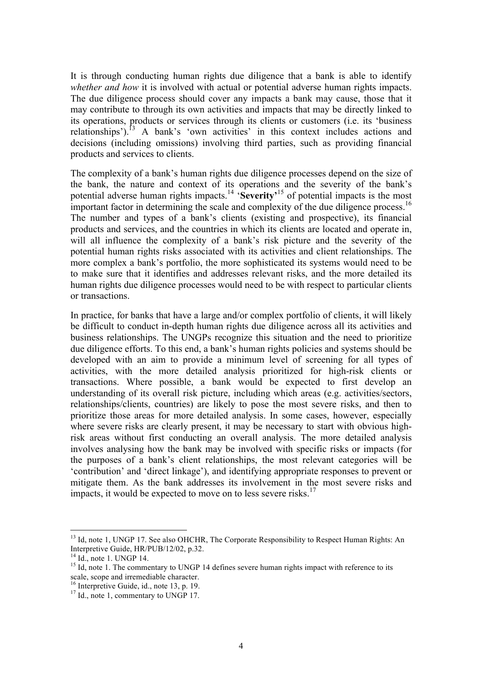It is through conducting human rights due diligence that a bank is able to identify *whether and how* it is involved with actual or potential adverse human rights impacts. The due diligence process should cover any impacts a bank may cause, those that it may contribute to through its own activities and impacts that may be directly linked to its operations, products or services through its clients or customers (i.e. its 'business relationships').<sup>[3</sup> A bank's 'own activities' in this context includes actions and decisions (including omissions) involving third parties, such as providing financial products and services to clients.

The complexity of a bank's human rights due diligence processes depend on the size of the bank, the nature and context of its operations and the severity of the bank's potential adverse human rights impacts.<sup>14</sup> 'Severity<sup>,15</sup> of potential impacts is the most important factor in determining the scale and complexity of the due diligence process.<sup>16</sup> The number and types of a bank's clients (existing and prospective), its financial products and services, and the countries in which its clients are located and operate in, will all influence the complexity of a bank's risk picture and the severity of the potential human rights risks associated with its activities and client relationships. The more complex a bank's portfolio, the more sophisticated its systems would need to be to make sure that it identifies and addresses relevant risks, and the more detailed its human rights due diligence processes would need to be with respect to particular clients or transactions.

In practice, for banks that have a large and/or complex portfolio of clients, it will likely be difficult to conduct in-depth human rights due diligence across all its activities and business relationships. The UNGPs recognize this situation and the need to prioritize due diligence efforts. To this end, a bank's human rights policies and systems should be developed with an aim to provide a minimum level of screening for all types of activities, with the more detailed analysis prioritized for high-risk clients or transactions. Where possible, a bank would be expected to first develop an understanding of its overall risk picture, including which areas (e.g. activities/sectors, relationships/clients, countries) are likely to pose the most severe risks, and then to prioritize those areas for more detailed analysis. In some cases, however, especially where severe risks are clearly present, it may be necessary to start with obvious highrisk areas without first conducting an overall analysis. The more detailed analysis involves analysing how the bank may be involved with specific risks or impacts (for the purposes of a bank's client relationships, the most relevant categories will be 'contribution' and 'direct linkage'), and identifying appropriate responses to prevent or mitigate them. As the bank addresses its involvement in the most severe risks and impacts, it would be expected to move on to less severe risks.<sup>17</sup>

<sup>&</sup>lt;sup>13</sup> Id, note 1, UNGP 17. See also OHCHR, The Corporate Responsibility to Respect Human Rights: An Interpretive Guide, HR/PUB/12/02, p.32.<br><sup>14</sup> Id., note 1. UNGP 14.

 $15$  Id., note 1. The commentary to UNGP 14 defines severe human rights impact with reference to its scale, scope and irremediable character.

<sup>&</sup>lt;sup>16</sup> Interpretive Guide, id., note 13, p. 19.<br><sup>17</sup> Id., note 1, commentary to UNGP 17.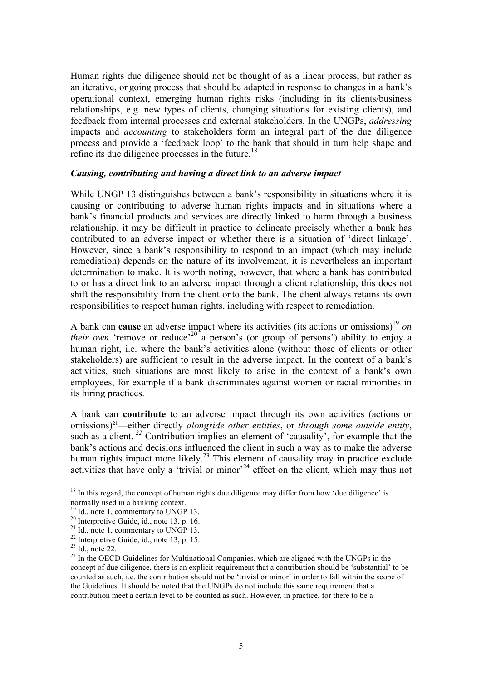Human rights due diligence should not be thought of as a linear process, but rather as an iterative, ongoing process that should be adapted in response to changes in a bank's operational context, emerging human rights risks (including in its clients/business relationships, e.g. new types of clients, changing situations for existing clients), and feedback from internal processes and external stakeholders. In the UNGPs, *addressing*  impacts and *accounting* to stakeholders form an integral part of the due diligence process and provide a 'feedback loop' to the bank that should in turn help shape and refine its due diligence processes in the future.<sup>18</sup>

#### *Causing, contributing and having a direct link to an adverse impact*

While UNGP 13 distinguishes between a bank's responsibility in situations where it is causing or contributing to adverse human rights impacts and in situations where a bank's financial products and services are directly linked to harm through a business relationship, it may be difficult in practice to delineate precisely whether a bank has contributed to an adverse impact or whether there is a situation of 'direct linkage'. However, since a bank's responsibility to respond to an impact (which may include remediation) depends on the nature of its involvement, it is nevertheless an important determination to make. It is worth noting, however, that where a bank has contributed to or has a direct link to an adverse impact through a client relationship, this does not shift the responsibility from the client onto the bank. The client always retains its own responsibilities to respect human rights, including with respect to remediation.

A bank can **cause** an adverse impact where its activities (its actions or omissions) 19 *on their own* 'remove or reduce'<sup>20</sup> a person's (or group of persons') ability to enjoy a human right, i.e. where the bank's activities alone (without those of clients or other stakeholders) are sufficient to result in the adverse impact. In the context of a bank's activities, such situations are most likely to arise in the context of a bank's own employees, for example if a bank discriminates against women or racial minorities in its hiring practices.

A bank can **contribute** to an adverse impact through its own activities (actions or omissions)21—either directly *alongside other entities*, or *through some outside entity*, such as a client.<sup>22</sup> Contribution implies an element of 'causality', for example that the bank's actions and decisions influenced the client in such a way as to make the adverse human rights impact more likely.<sup>23</sup> This element of causality may in practice exclude activities that have only a 'trivial or minor'<sup>24</sup> effect on the client, which may thus not

 $18$  In this regard, the concept of human rights due diligence may differ from how 'due diligence' is normally used in a banking context.<br><sup>19</sup> Id., note 1, commentary to UNGP 13.

<sup>&</sup>lt;sup>20</sup> Interpretive Guide, id., note 13, p. 16.<br>
<sup>21</sup> Id., note 1, commentary to UNGP 13.<br>
<sup>22</sup> Interpretive Guide, id., note 13, p. 15.<br>
<sup>23</sup> Id., note 22.<br>
<sup>24</sup> In the OECD Guidelines for Multinational Companies, which ar concept of due diligence, there is an explicit requirement that a contribution should be 'substantial' to be counted as such, i.e. the contribution should not be 'trivial or minor' in order to fall within the scope of the Guidelines. It should be noted that the UNGPs do not include this same requirement that a contribution meet a certain level to be counted as such. However, in practice, for there to be a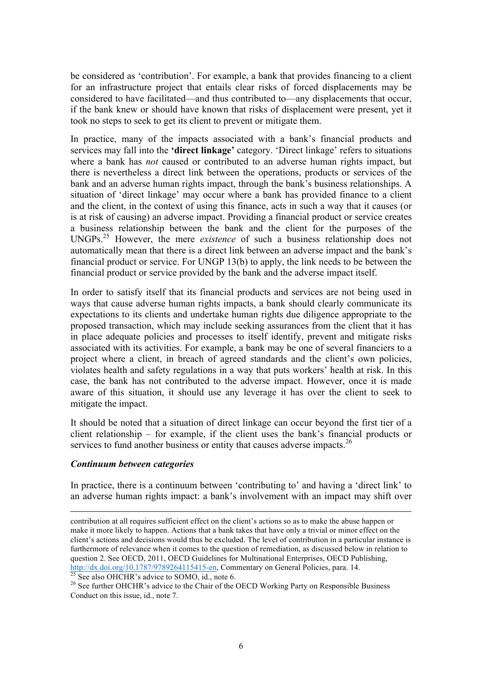be considered as 'contribution'. For example, a bank that provides financing to a client for an infrastructure project that entails clear risks of forced displacements may be considered to have facilitated—and thus contributed to—any displacements that occur, if the bank knew or should have known that risks of displacement were present, yet it took no steps to seek to get its client to prevent or mitigate them.

In practice, many of the impacts associated with a bank's financial products and services may fall into the **'direct linkage'** category. 'Direct linkage' refers to situations where a bank has *not* caused or contributed to an adverse human rights impact, but there is nevertheless a direct link between the operations, products or services of the bank and an adverse human rights impact, through the bank's business relationships. A situation of 'direct linkage' may occur where a bank has provided finance to a client and the client, in the context of using this finance, acts in such a way that it causes (or is at risk of causing) an adverse impact. Providing a financial product or service creates a business relationship between the bank and the client for the purposes of the UNGPs.25 However, the mere *existence* of such a business relationship does not automatically mean that there is a direct link between an adverse impact and the bank's financial product or service. For UNGP 13(b) to apply, the link needs to be between the financial product or service provided by the bank and the adverse impact itself.

In order to satisfy itself that its financial products and services are not being used in ways that cause adverse human rights impacts, a bank should clearly communicate its expectations to its clients and undertake human rights due diligence appropriate to the proposed transaction, which may include seeking assurances from the client that it has in place adequate policies and processes to itself identify, prevent and mitigate risks associated with its activities. For example, a bank may be one of several financiers to a project where a client, in breach of agreed standards and the client's own policies, violates health and safety regulations in a way that puts workers' health at risk. In this case, the bank has not contributed to the adverse impact. However, once it is made aware of this situation, it should use any leverage it has over the client to seek to mitigate the impact.

It should be noted that a situation of direct linkage can occur beyond the first tier of a client relationship – for example, if the client uses the bank's financial products or services to fund another business or entity that causes adverse impacts.<sup>26</sup>

#### *Continuum between categories*

In practice, there is a continuum between 'contributing to' and having a 'direct link' to an adverse human rights impact: a bank's involvement with an impact may shift over

<u> 1989 - Johann Stoff, amerikansk politiker (d. 1989)</u>

contribution at all requires sufficient effect on the client's actions so as to make the abuse happen or make it more likely to happen. Actions that a bank takes that have only a trivial or minor effect on the client's actions and decisions would thus be excluded. The level of contribution in a particular instance is furthermore of relevance when it comes to the question of remediation, as discussed below in relation to question 2. See OECD, 2011, OECD Guidelines for Multinational Enterprises, OECD Publishing, http://dx.doi.org/10.1787/9789264115415-en, Commentary on General Policies, para. 14.<br><sup>25</sup> See also OHCHR's advice to SOMO, id., note 6.<br><sup>26</sup> See further OHCHR's advice to the Chair of the OECD Working Party on Responsibl

Conduct on this issue, id., note 7.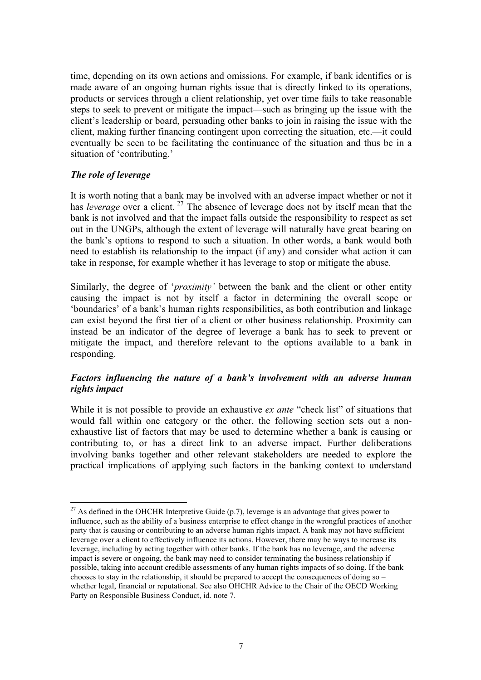time, depending on its own actions and omissions. For example, if bank identifies or is made aware of an ongoing human rights issue that is directly linked to its operations, products or services through a client relationship, yet over time fails to take reasonable steps to seek to prevent or mitigate the impact—such as bringing up the issue with the client's leadership or board, persuading other banks to join in raising the issue with the client, making further financing contingent upon correcting the situation, etc.—it could eventually be seen to be facilitating the continuance of the situation and thus be in a situation of 'contributing.'

## *The role of leverage*

<u> 1989 - Johann Barn, mars eta bainar eta industrial eta baina eta baina eta baina eta baina eta baina eta bain</u>

It is worth noting that a bank may be involved with an adverse impact whether or not it has *leverage* over a client.<sup>27</sup> The absence of leverage does not by itself mean that the bank is not involved and that the impact falls outside the responsibility to respect as set out in the UNGPs, although the extent of leverage will naturally have great bearing on the bank's options to respond to such a situation. In other words, a bank would both need to establish its relationship to the impact (if any) and consider what action it can take in response, for example whether it has leverage to stop or mitigate the abuse.

Similarly, the degree of '*proximity'* between the bank and the client or other entity causing the impact is not by itself a factor in determining the overall scope or 'boundaries' of a bank's human rights responsibilities, as both contribution and linkage can exist beyond the first tier of a client or other business relationship. Proximity can instead be an indicator of the degree of leverage a bank has to seek to prevent or mitigate the impact, and therefore relevant to the options available to a bank in responding.

# *Factors influencing the nature of a bank's involvement with an adverse human rights impact*

While it is not possible to provide an exhaustive *ex ante* "check list" of situations that would fall within one category or the other, the following section sets out a nonexhaustive list of factors that may be used to determine whether a bank is causing or contributing to, or has a direct link to an adverse impact. Further deliberations involving banks together and other relevant stakeholders are needed to explore the practical implications of applying such factors in the banking context to understand

<sup>&</sup>lt;sup>27</sup> As defined in the OHCHR Interpretive Guide (p.7), leverage is an advantage that gives power to influence, such as the ability of a business enterprise to effect change in the wrongful practices of another party that is causing or contributing to an adverse human rights impact. A bank may not have sufficient leverage over a client to effectively influence its actions. However, there may be ways to increase its leverage, including by acting together with other banks. If the bank has no leverage, and the adverse impact is severe or ongoing, the bank may need to consider terminating the business relationship if possible, taking into account credible assessments of any human rights impacts of so doing. If the bank chooses to stay in the relationship, it should be prepared to accept the consequences of doing so – whether legal, financial or reputational. See also OHCHR Advice to the Chair of the OECD Working Party on Responsible Business Conduct, id. note 7.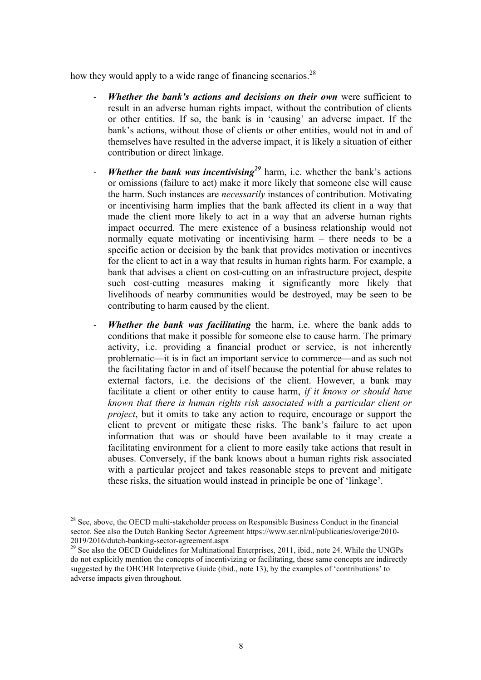how they would apply to a wide range of financing scenarios.<sup>28</sup>

- *Whether the bank's actions and decisions on their own* were sufficient to result in an adverse human rights impact, without the contribution of clients or other entities. If so, the bank is in 'causing' an adverse impact. If the bank's actions, without those of clients or other entities, would not in and of themselves have resulted in the adverse impact, it is likely a situation of either contribution or direct linkage.
- *Whether the bank was incentivising*<sup>29</sup> harm, i.e. whether the bank's actions or omissions (failure to act) make it more likely that someone else will cause the harm. Such instances are *necessarily* instances of contribution. Motivating or incentivising harm implies that the bank affected its client in a way that made the client more likely to act in a way that an adverse human rights impact occurred. The mere existence of a business relationship would not normally equate motivating or incentivising harm – there needs to be a specific action or decision by the bank that provides motivation or incentives for the client to act in a way that results in human rights harm. For example, a bank that advises a client on cost-cutting on an infrastructure project, despite such cost-cutting measures making it significantly more likely that livelihoods of nearby communities would be destroyed, may be seen to be contributing to harm caused by the client.
- **Whether the bank was facilitating** the harm, i.e. where the bank adds to conditions that make it possible for someone else to cause harm. The primary activity, i.e. providing a financial product or service, is not inherently problematic—it is in fact an important service to commerce—and as such not the facilitating factor in and of itself because the potential for abuse relates to external factors, i.e. the decisions of the client. However, a bank may facilitate a client or other entity to cause harm, *if it knows or should have known that there is human rights risk associated with a particular client or project*, but it omits to take any action to require, encourage or support the client to prevent or mitigate these risks. The bank's failure to act upon information that was or should have been available to it may create a facilitating environment for a client to more easily take actions that result in abuses. Conversely, if the bank knows about a human rights risk associated with a particular project and takes reasonable steps to prevent and mitigate these risks, the situation would instead in principle be one of 'linkage'.

 $^{28}$  See, above, the OECD multi-stakeholder process on Responsible Business Conduct in the financial sector. See also the Dutch Banking Sector Agreement https://www.ser.nl/nl/publicaties/overige/2010-2019/2016/dutch-banking-sector-agreement.aspx<br><sup>29</sup> See also the OECD Guidelines for Multinational Enterprises, 2011, ibid., note 24. While the UNGPs

do not explicitly mention the concepts of incentivizing or facilitating, these same concepts are indirectly suggested by the OHCHR Interpretive Guide (ibid., note 13), by the examples of 'contributions' to adverse impacts given throughout.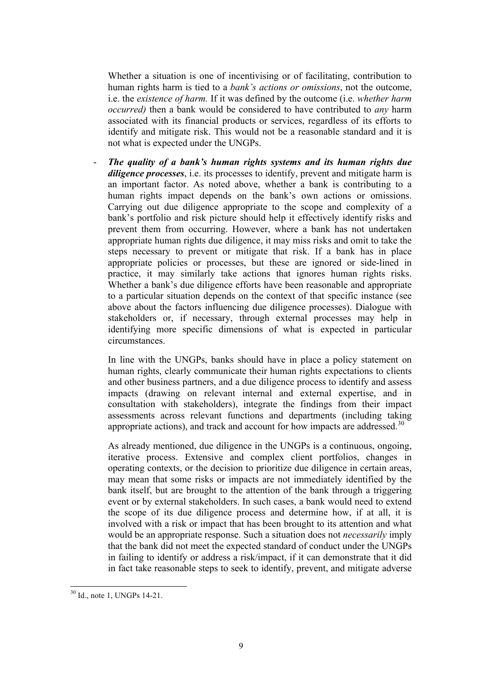Whether a situation is one of incentivising or of facilitating, contribution to human rights harm is tied to a *bank's actions or omissions*, not the outcome, i.e. the *existence of harm.* If it was defined by the outcome (i.e. *whether harm occurred)* then a bank would be considered to have contributed to *any* harm associated with its financial products or services, regardless of its efforts to identify and mitigate risk. This would not be a reasonable standard and it is not what is expected under the UNGPs.

- *The quality of a bank's human rights systems and its human rights due diligence processes*, i.e. its processes to identify, prevent and mitigate harm is an important factor. As noted above, whether a bank is contributing to a human rights impact depends on the bank's own actions or omissions. Carrying out due diligence appropriate to the scope and complexity of a bank's portfolio and risk picture should help it effectively identify risks and prevent them from occurring. However, where a bank has not undertaken appropriate human rights due diligence, it may miss risks and omit to take the steps necessary to prevent or mitigate that risk. If a bank has in place appropriate policies or processes, but these are ignored or side-lined in practice, it may similarly take actions that ignores human rights risks. Whether a bank's due diligence efforts have been reasonable and appropriate to a particular situation depends on the context of that specific instance (see above about the factors influencing due diligence processes). Dialogue with stakeholders or, if necessary, through external processes may help in identifying more specific dimensions of what is expected in particular circumstances.

In line with the UNGPs, banks should have in place a policy statement on human rights, clearly communicate their human rights expectations to clients and other business partners, and a due diligence process to identify and assess impacts (drawing on relevant internal and external expertise, and in consultation with stakeholders), integrate the findings from their impact assessments across relevant functions and departments (including taking appropriate actions), and track and account for how impacts are addressed.<sup>30</sup>

As already mentioned, due diligence in the UNGPs is a continuous, ongoing, iterative process. Extensive and complex client portfolios, changes in operating contexts, or the decision to prioritize due diligence in certain areas, may mean that some risks or impacts are not immediately identified by the bank itself, but are brought to the attention of the bank through a triggering event or by external stakeholders. In such cases, a bank would need to extend the scope of its due diligence process and determine how, if at all, it is involved with a risk or impact that has been brought to its attention and what would be an appropriate response. Such a situation does not *necessarily* imply that the bank did not meet the expected standard of conduct under the UNGPs in failing to identify or address a risk/impact, if it can demonstrate that it did in fact take reasonable steps to seek to identify, prevent, and mitigate adverse

 <sup>30</sup> Id., note 1, UNGPs 14-21.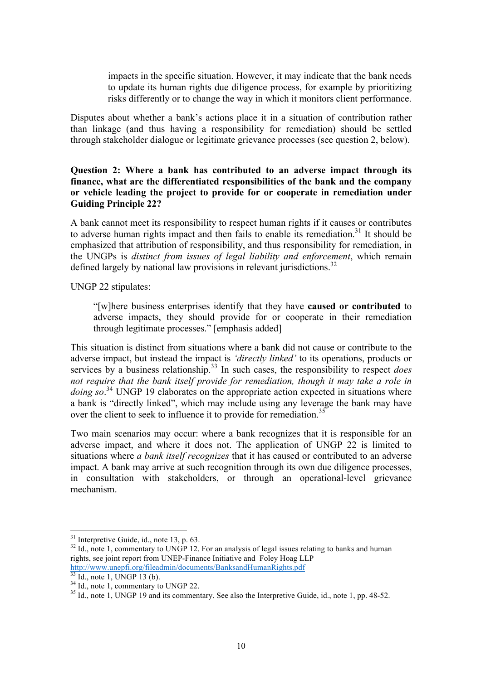impacts in the specific situation. However, it may indicate that the bank needs to update its human rights due diligence process, for example by prioritizing risks differently or to change the way in which it monitors client performance.

Disputes about whether a bank's actions place it in a situation of contribution rather than linkage (and thus having a responsibility for remediation) should be settled through stakeholder dialogue or legitimate grievance processes (see question 2, below).

## **Question 2: Where a bank has contributed to an adverse impact through its finance, what are the differentiated responsibilities of the bank and the company or vehicle leading the project to provide for or cooperate in remediation under Guiding Principle 22?**

A bank cannot meet its responsibility to respect human rights if it causes or contributes to adverse human rights impact and then fails to enable its remediation.<sup>31</sup> It should be emphasized that attribution of responsibility, and thus responsibility for remediation, in the UNGPs is *distinct from issues of legal liability and enforcement*, which remain defined largely by national law provisions in relevant jurisdictions.<sup>32</sup>

UNGP 22 stipulates:

"[w]here business enterprises identify that they have **caused or contributed** to adverse impacts, they should provide for or cooperate in their remediation through legitimate processes." [emphasis added]

This situation is distinct from situations where a bank did not cause or contribute to the adverse impact, but instead the impact is *'directly linked'* to its operations, products or services by a business relationship.<sup>33</sup> In such cases, the responsibility to respect *does not require that the bank itself provide for remediation, though it may take a role in doing so*. <sup>34</sup> UNGP 19 elaborates on the appropriate action expected in situations where a bank is "directly linked", which may include using any leverage the bank may have over the client to seek to influence it to provide for remediation.<sup>35</sup>

Two main scenarios may occur: where a bank recognizes that it is responsible for an adverse impact, and where it does not. The application of UNGP 22 is limited to situations where *a bank itself recognizes* that it has caused or contributed to an adverse impact. A bank may arrive at such recognition through its own due diligence processes, in consultation with stakeholders, or through an operational-level grievance mechanism.

 $31$  Interpretive Guide, id., note 13, p. 63.

 $32$  Id., note 1, commentary to UNGP 12. For an analysis of legal issues relating to banks and human rights, see joint report from UNEP-Finance Initiative and Foley Hoag LLP

http://www.unepfi.org/fileadmin/documents/BanksandHumanRights.pdf<br>
<sup>33</sup> Id., note 1, UNGP 13 (b).

 $\frac{34}{34}$  Id., note 1, CNST 13 (b).<br><sup>34</sup> Id., note 1, commentary to UNGP 22.<br><sup>35</sup> Id., note 1, UNGP 19 and its commentary. See also the Interpretive Guide, id., note 1, pp. 48-52.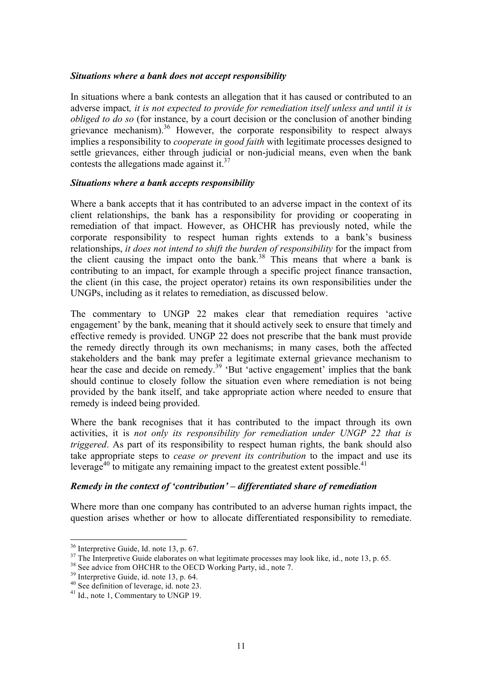#### *Situations where a bank does not accept responsibility*

In situations where a bank contests an allegation that it has caused or contributed to an adverse impact*, it is not expected to provide for remediation itself unless and until it is obliged to do so* (for instance, by a court decision or the conclusion of another binding grievance mechanism).<sup>36</sup> However, the corporate responsibility to respect always implies a responsibility to *cooperate in good faith* with legitimate processes designed to settle grievances, either through judicial or non-judicial means, even when the bank contests the allegations made against it. $37$ 

#### *Situations where a bank accepts responsibility*

Where a bank accepts that it has contributed to an adverse impact in the context of its client relationships, the bank has a responsibility for providing or cooperating in remediation of that impact. However, as OHCHR has previously noted, while the corporate responsibility to respect human rights extends to a bank's business relationships, *it does not intend to shift the burden of responsibility* for the impact from the client causing the impact onto the bank. <sup>38</sup> This means that where a bank is contributing to an impact, for example through a specific project finance transaction, the client (in this case, the project operator) retains its own responsibilities under the UNGPs, including as it relates to remediation, as discussed below.

The commentary to UNGP 22 makes clear that remediation requires 'active engagement' by the bank, meaning that it should actively seek to ensure that timely and effective remedy is provided. UNGP 22 does not prescribe that the bank must provide the remedy directly through its own mechanisms; in many cases, both the affected stakeholders and the bank may prefer a legitimate external grievance mechanism to hear the case and decide on remedy.<sup>39</sup> 'But 'active engagement' implies that the bank should continue to closely follow the situation even where remediation is not being provided by the bank itself, and take appropriate action where needed to ensure that remedy is indeed being provided.

Where the bank recognises that it has contributed to the impact through its own activities, it is *not only its responsibility for remediation under UNGP 22 that is triggered*. As part of its responsibility to respect human rights, the bank should also take appropriate steps to *cease or prevent its contribution* to the impact and use its leverage<sup>40</sup> to mitigate any remaining impact to the greatest extent possible.<sup>41</sup>

#### *Remedy in the context of 'contribution' – differentiated share of remediation*

Where more than one company has contributed to an adverse human rights impact, the question arises whether or how to allocate differentiated responsibility to remediate.

<sup>&</sup>lt;sup>36</sup> Interpretive Guide, Id. note 13, p. 67.

<sup>&</sup>lt;sup>37</sup> The Interpretive Guide elaborates on what legitimate processes may look like, id., note 13, p. 65.<br><sup>38</sup> See advice from OHCHR to the OECD Working Party, id., note 7.<br><sup>39</sup> Interpretive Guide, id. note 13, p. 64.<br><sup>40</sup>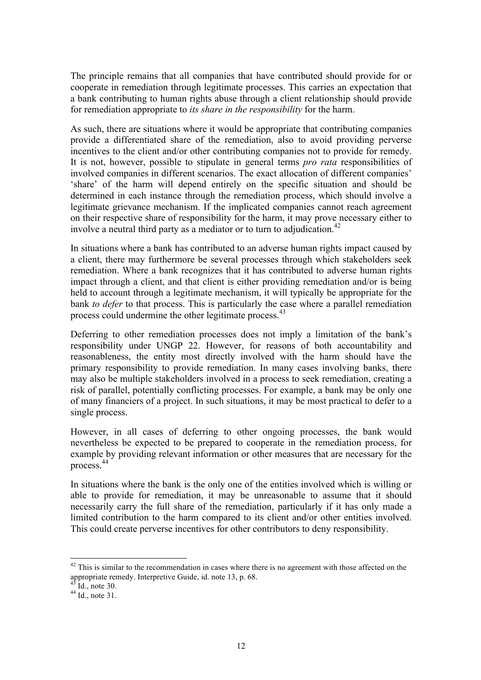The principle remains that all companies that have contributed should provide for or cooperate in remediation through legitimate processes. This carries an expectation that a bank contributing to human rights abuse through a client relationship should provide for remediation appropriate to *its share in the responsibility* for the harm.

As such, there are situations where it would be appropriate that contributing companies provide a differentiated share of the remediation, also to avoid providing perverse incentives to the client and/or other contributing companies not to provide for remedy. It is not, however, possible to stipulate in general terms *pro rata* responsibilities of involved companies in different scenarios. The exact allocation of different companies' 'share' of the harm will depend entirely on the specific situation and should be determined in each instance through the remediation process, which should involve a legitimate grievance mechanism. If the implicated companies cannot reach agreement on their respective share of responsibility for the harm, it may prove necessary either to involve a neutral third party as a mediator or to turn to adjudication.<sup>42</sup>

In situations where a bank has contributed to an adverse human rights impact caused by a client, there may furthermore be several processes through which stakeholders seek remediation. Where a bank recognizes that it has contributed to adverse human rights impact through a client, and that client is either providing remediation and/or is being held to account through a legitimate mechanism, it will typically be appropriate for the bank *to defer* to that process. This is particularly the case where a parallel remediation process could undermine the other legitimate process.<sup>43</sup>

Deferring to other remediation processes does not imply a limitation of the bank's responsibility under UNGP 22. However, for reasons of both accountability and reasonableness, the entity most directly involved with the harm should have the primary responsibility to provide remediation. In many cases involving banks, there may also be multiple stakeholders involved in a process to seek remediation, creating a risk of parallel, potentially conflicting processes. For example, a bank may be only one of many financiers of a project. In such situations, it may be most practical to defer to a single process.

However, in all cases of deferring to other ongoing processes, the bank would nevertheless be expected to be prepared to cooperate in the remediation process, for example by providing relevant information or other measures that are necessary for the process.44

In situations where the bank is the only one of the entities involved which is willing or able to provide for remediation, it may be unreasonable to assume that it should necessarily carry the full share of the remediation, particularly if it has only made a limited contribution to the harm compared to its client and/or other entities involved. This could create perverse incentives for other contributors to deny responsibility.

 $42$  This is similar to the recommendation in cases where there is no agreement with those affected on the appropriate remedy. Interpretive Guide, id. note 13, p. 68.<br><sup>43</sup> Id., note 30.<br><sup>44</sup> Id., note 31.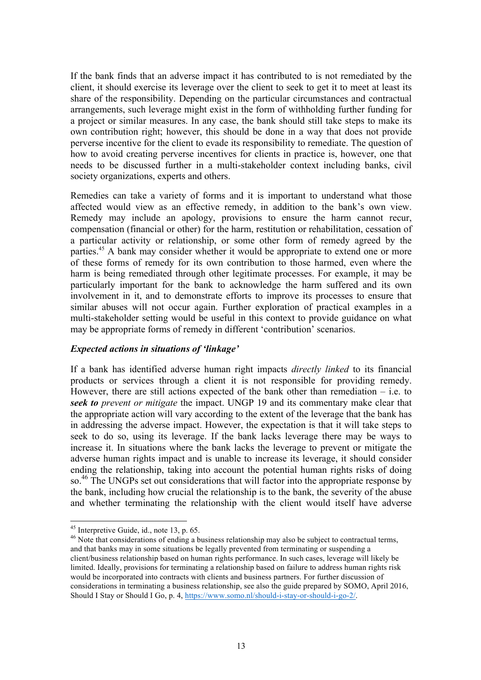If the bank finds that an adverse impact it has contributed to is not remediated by the client, it should exercise its leverage over the client to seek to get it to meet at least its share of the responsibility. Depending on the particular circumstances and contractual arrangements, such leverage might exist in the form of withholding further funding for a project or similar measures. In any case, the bank should still take steps to make its own contribution right; however, this should be done in a way that does not provide perverse incentive for the client to evade its responsibility to remediate. The question of how to avoid creating perverse incentives for clients in practice is, however, one that needs to be discussed further in a multi-stakeholder context including banks, civil society organizations, experts and others.

Remedies can take a variety of forms and it is important to understand what those affected would view as an effective remedy, in addition to the bank's own view. Remedy may include an apology, provisions to ensure the harm cannot recur, compensation (financial or other) for the harm, restitution or rehabilitation, cessation of a particular activity or relationship, or some other form of remedy agreed by the parties.<sup>45</sup> A bank may consider whether it would be appropriate to extend one or more of these forms of remedy for its own contribution to those harmed, even where the harm is being remediated through other legitimate processes. For example, it may be particularly important for the bank to acknowledge the harm suffered and its own involvement in it, and to demonstrate efforts to improve its processes to ensure that similar abuses will not occur again. Further exploration of practical examples in a multi-stakeholder setting would be useful in this context to provide guidance on what may be appropriate forms of remedy in different 'contribution' scenarios.

#### *Expected actions in situations of 'linkage'*

If a bank has identified adverse human right impacts *directly linked* to its financial products or services through a client it is not responsible for providing remedy. However, there are still actions expected of the bank other than remediation  $-$  i.e. to *seek to prevent or mitigate* the impact. UNGP 19 and its commentary make clear that the appropriate action will vary according to the extent of the leverage that the bank has in addressing the adverse impact. However, the expectation is that it will take steps to seek to do so, using its leverage. If the bank lacks leverage there may be ways to increase it. In situations where the bank lacks the leverage to prevent or mitigate the adverse human rights impact and is unable to increase its leverage, it should consider ending the relationship, taking into account the potential human rights risks of doing so.<sup>46</sup> The UNGPs set out considerations that will factor into the appropriate response by the bank, including how crucial the relationship is to the bank, the severity of the abuse and whether terminating the relationship with the client would itself have adverse

<sup>&</sup>lt;sup>45</sup> Interpretive Guide, id., note 13, p. 65.<br><sup>46</sup> Note that considerations of ending a business relationship may also be subject to contractual terms, and that banks may in some situations be legally prevented from terminating or suspending a client/business relationship based on human rights performance. In such cases, leverage will likely be limited. Ideally, provisions for terminating a relationship based on failure to address human rights risk would be incorporated into contracts with clients and business partners. For further discussion of considerations in terminating a business relationship, see also the guide prepared by SOMO, April 2016, Should I Stay or Should I Go, p. 4, https://www.somo.nl/should-i-stay-or-should-i-go-2/.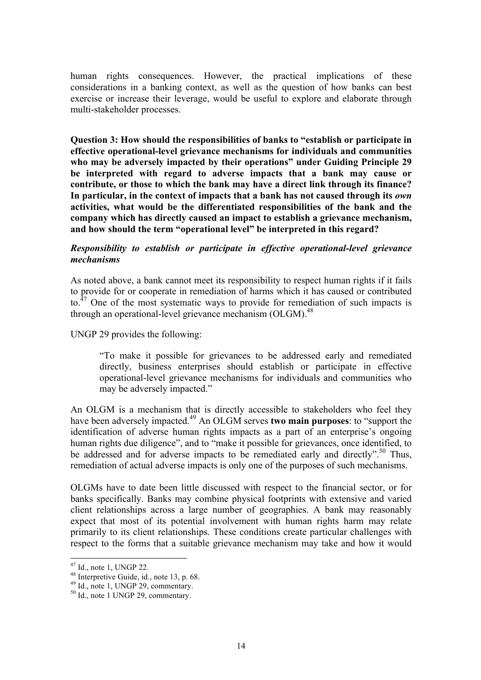human rights consequences. However, the practical implications of these considerations in a banking context, as well as the question of how banks can best exercise or increase their leverage, would be useful to explore and elaborate through multi-stakeholder processes.

**Question 3: How should the responsibilities of banks to "establish or participate in effective operational-level grievance mechanisms for individuals and communities who may be adversely impacted by their operations" under Guiding Principle 29 be interpreted with regard to adverse impacts that a bank may cause or contribute, or those to which the bank may have a direct link through its finance?**  In particular, in the context of impacts that a bank has not caused through its *own* **activities, what would be the differentiated responsibilities of the bank and the company which has directly caused an impact to establish a grievance mechanism, and how should the term "operational level" be interpreted in this regard?** 

# *Responsibility to establish or participate in effective operational-level grievance mechanisms*

As noted above, a bank cannot meet its responsibility to respect human rights if it fails to provide for or cooperate in remediation of harms which it has caused or contributed to.<sup>47</sup> One of the most systematic ways to provide for remediation of such impacts is through an operational-level grievance mechanism (OLGM).<sup>48</sup>

## UNGP 29 provides the following:

"To make it possible for grievances to be addressed early and remediated directly, business enterprises should establish or participate in effective operational-level grievance mechanisms for individuals and communities who may be adversely impacted."

An OLGM is a mechanism that is directly accessible to stakeholders who feel they have been adversely impacted.49 An OLGM serves **two main purposes**: to "support the identification of adverse human rights impacts as a part of an enterprise's ongoing human rights due diligence", and to "make it possible for grievances, once identified, to be addressed and for adverse impacts to be remediated early and directly".<sup>50</sup> Thus, remediation of actual adverse impacts is only one of the purposes of such mechanisms.

OLGMs have to date been little discussed with respect to the financial sector, or for banks specifically. Banks may combine physical footprints with extensive and varied client relationships across a large number of geographies. A bank may reasonably expect that most of its potential involvement with human rights harm may relate primarily to its client relationships. These conditions create particular challenges with respect to the forms that a suitable grievance mechanism may take and how it would

<sup>&</sup>lt;sup>47</sup> Id., note 1, UNGP 22.<br><sup>48</sup> Interpretive Guide, id., note 13, p. 68.<br><sup>49</sup> Id., note 1, UNGP 29, commentary.<br><sup>50</sup> Id., note 1 UNGP 29, commentary.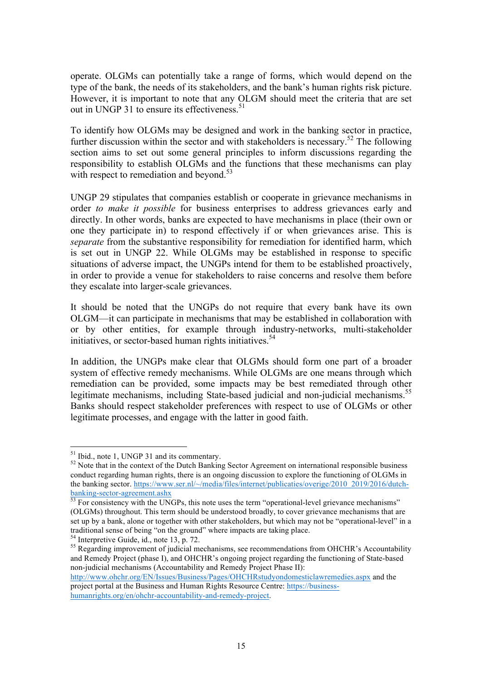operate. OLGMs can potentially take a range of forms, which would depend on the type of the bank, the needs of its stakeholders, and the bank's human rights risk picture. However, it is important to note that any OLGM should meet the criteria that are set out in UNGP 31 to ensure its effectiveness.<sup>51</sup>

To identify how OLGMs may be designed and work in the banking sector in practice, further discussion within the sector and with stakeholders is necessary.<sup>52</sup> The following section aims to set out some general principles to inform discussions regarding the responsibility to establish OLGMs and the functions that these mechanisms can play with respect to remediation and beyond. $53$ 

UNGP 29 stipulates that companies establish or cooperate in grievance mechanisms in order *to make it possible* for business enterprises to address grievances early and directly. In other words, banks are expected to have mechanisms in place (their own or one they participate in) to respond effectively if or when grievances arise. This is *separate* from the substantive responsibility for remediation for identified harm, which is set out in UNGP 22. While OLGMs may be established in response to specific situations of adverse impact, the UNGPs intend for them to be established proactively, in order to provide a venue for stakeholders to raise concerns and resolve them before they escalate into larger-scale grievances.

It should be noted that the UNGPs do not require that every bank have its own OLGM—it can participate in mechanisms that may be established in collaboration with or by other entities, for example through industry-networks, multi-stakeholder initiatives, or sector-based human rights initiatives.<sup>54</sup>

In addition, the UNGPs make clear that OLGMs should form one part of a broader system of effective remedy mechanisms. While OLGMs are one means through which remediation can be provided, some impacts may be best remediated through other legitimate mechanisms, including State-based judicial and non-judicial mechanisms.<sup>55</sup> Banks should respect stakeholder preferences with respect to use of OLGMs or other legitimate processes, and engage with the latter in good faith.

http://www.ohchr.org/EN/Issues/Business/Pages/OHCHRstudyondomesticlawremedies.aspx and the project portal at the Business and Human Rights Resource Centre: https://business-

humanrights.org/en/ohchr-accountability-and-remedy-project.

<sup>&</sup>lt;sup>51</sup> Ibid., note 1, UNGP 31 and its commentary.

 $52$  Note that in the context of the Dutch Banking Sector Agreement on international responsible business conduct regarding human rights, there is an ongoing discussion to explore the functioning of OLGMs in the banking sector. https://www.ser.nl/~/media/files/internet/publicaties/overige/2010\_2019/2016/dutchbanking-sector-agreement.ashx<br>
<sup>53</sup> For consistency with the UNGPs, this note uses the term "operational-level grievance mechanisms"

<sup>(</sup>OLGMs) throughout. This term should be understood broadly, to cover grievance mechanisms that are set up by a bank, alone or together with other stakeholders, but which may not be "operational-level" in a traditional sense of being "on the ground" where impacts are taking place.

<sup>&</sup>lt;sup>54</sup> Interpretive Guide, id., note 13, p. 72.<br><sup>55</sup> Regarding improvement of judicial mechanisms, see recommendations from OHCHR's Accountability and Remedy Project (phase I), and OHCHR's ongoing project regarding the functioning of State-based non-judicial mechanisms (Accountability and Remedy Project Phase II):